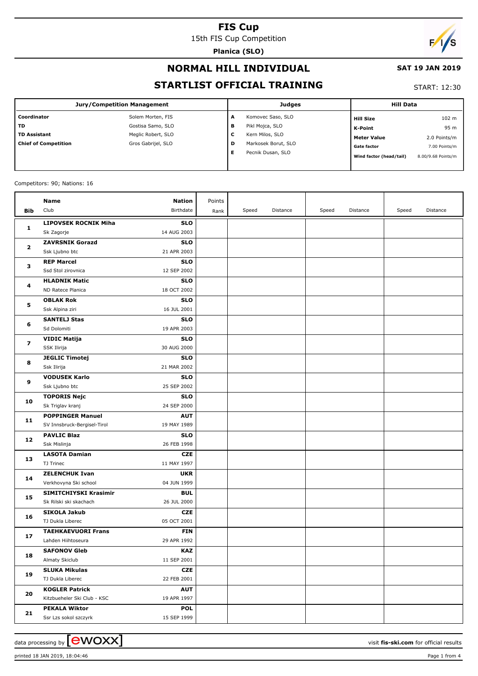15th FIS Cup Competition

**Planica (SLO)**

# $\overline{\phantom{a}}$

## **NORMAL HILL INDIVIDUAL**

#### **SAT 19 JAN 2019**

## **STARTLIST OFFICIAL TRAINING**

#### START: 12:30

| <b>Jury/Competition Management</b> |                    |        | <b>Judges</b>       | <b>Hill Data</b>        |                    |  |
|------------------------------------|--------------------|--------|---------------------|-------------------------|--------------------|--|
| Coordinator                        | Solem Morten, FIS  | A      | Komovec Saso, SLO   | <b>Hill Size</b>        | 102 m              |  |
| <b>TD</b>                          | Gostisa Samo, SLO  | в      | Pikl Mojca, SLO     | K-Point                 | 95 m               |  |
| <b>TD Assistant</b>                | Meglic Robert, SLO | ┍<br>L | Kern Milos, SLO     | <b>Meter Value</b>      | 2.0 Points/m       |  |
| <b>Chief of Competition</b>        | Gros Gabrijel, SLO | D      | Markosek Borut, SLO | <b>Gate factor</b>      | 7.00 Points/m      |  |
|                                    |                    | Е      | Pecnik Dusan, SLO   | Wind factor (head/tail) | 8.00/9.68 Points/m |  |

#### Competitors: 90; Nations: 16

|              | Name                                     | Nation                    | Points |       |          |       |          |       |          |
|--------------|------------------------------------------|---------------------------|--------|-------|----------|-------|----------|-------|----------|
| Bib          | Club                                     | Birthdate                 | Rank   | Speed | Distance | Speed | Distance | Speed | Distance |
|              | <b>LIPOVSEK ROCNIK Miha</b>              | <b>SLO</b>                |        |       |          |       |          |       |          |
| 1            | Sk Zagorje                               | 14 AUG 2003               |        |       |          |       |          |       |          |
| $\mathbf{2}$ | <b>ZAVRSNIK Gorazd</b>                   | <b>SLO</b>                |        |       |          |       |          |       |          |
|              | Ssk Ljubno btc                           | 21 APR 2003               |        |       |          |       |          |       |          |
|              | <b>REP Marcel</b>                        | <b>SLO</b>                |        |       |          |       |          |       |          |
| з            | Ssd Stol zirovnica                       | 12 SEP 2002               |        |       |          |       |          |       |          |
| 4            | <b>HLADNIK Matic</b>                     | <b>SLO</b>                |        |       |          |       |          |       |          |
|              | ND Ratece Planica                        | 18 OCT 2002               |        |       |          |       |          |       |          |
|              | <b>OBLAK Rok</b>                         | <b>SLO</b>                |        |       |          |       |          |       |          |
| 5            | Ssk Alpina ziri                          | 16 JUL 2001               |        |       |          |       |          |       |          |
|              | <b>SANTELJ Stas</b>                      | <b>SLO</b>                |        |       |          |       |          |       |          |
| 6            | Sd Dolomiti                              | 19 APR 2003               |        |       |          |       |          |       |          |
|              | <b>VIDIC Matija</b>                      | <b>SLO</b>                |        |       |          |       |          |       |          |
| 7            | SSK Ilirija                              | 30 AUG 2000               |        |       |          |       |          |       |          |
|              | <b>JEGLIC Timotej</b>                    | <b>SLO</b>                |        |       |          |       |          |       |          |
| 8            | Ssk Ilirija                              | 21 MAR 2002               |        |       |          |       |          |       |          |
| 9            | <b>VODUSEK Karlo</b>                     | <b>SLO</b>                |        |       |          |       |          |       |          |
|              | Ssk Ljubno btc                           | 25 SEP 2002               |        |       |          |       |          |       |          |
| 10           | <b>TOPORIS Nejc</b>                      | <b>SLO</b>                |        |       |          |       |          |       |          |
|              | Sk Triglav kranj                         | 24 SEP 2000               |        |       |          |       |          |       |          |
| 11           | <b>POPPINGER Manuel</b>                  | <b>AUT</b>                |        |       |          |       |          |       |          |
|              | SV Innsbruck-Bergisel-Tirol              | 19 MAY 1989               |        |       |          |       |          |       |          |
| 12           | <b>PAVLIC Blaz</b>                       | <b>SLO</b>                |        |       |          |       |          |       |          |
|              | Ssk Mislinja                             | 26 FEB 1998               |        |       |          |       |          |       |          |
| 13           | <b>LASOTA Damian</b>                     | <b>CZE</b>                |        |       |          |       |          |       |          |
|              | TJ Trinec                                | 11 MAY 1997               |        |       |          |       |          |       |          |
| 14           | <b>ZELENCHUK Ivan</b>                    | <b>UKR</b>                |        |       |          |       |          |       |          |
|              | Verkhovyna Ski school                    | 04 JUN 1999               |        |       |          |       |          |       |          |
| 15           | SIMITCHIYSKI Krasimir                    | <b>BUL</b>                |        |       |          |       |          |       |          |
|              | Sk Rilski ski skachach                   | 26 JUL 2000               |        |       |          |       |          |       |          |
| 16           | <b>SIKOLA Jakub</b>                      | <b>CZE</b>                |        |       |          |       |          |       |          |
|              | TJ Dukla Liberec                         | 05 OCT 2001               |        |       |          |       |          |       |          |
| 17           | <b>TAEHKAEVUORI Frans</b>                | <b>FIN</b>                |        |       |          |       |          |       |          |
|              | Lahden Hiihtoseura                       | 29 APR 1992               |        |       |          |       |          |       |          |
| 18           | <b>SAFONOV Gleb</b>                      | KAZ                       |        |       |          |       |          |       |          |
|              | Almaty Skiclub                           | 11 SEP 2001               |        |       |          |       |          |       |          |
| 19           | <b>SLUKA Mikulas</b><br>TJ Dukla Liberec | <b>CZE</b><br>22 FEB 2001 |        |       |          |       |          |       |          |
|              | <b>KOGLER Patrick</b>                    | <b>AUT</b>                |        |       |          |       |          |       |          |
| 20           | Kitzbueheler Ski Club - KSC              | 19 APR 1997               |        |       |          |       |          |       |          |
|              | <b>PEKALA Wiktor</b>                     | <b>POL</b>                |        |       |          |       |          |       |          |
| 21           | Ssr Lzs sokol szczyrk                    | 15 SEP 1999               |        |       |          |       |          |       |          |
|              |                                          |                           |        |       |          |       |          |       |          |

data processing by **CWOXX**  $\blacksquare$ 

printed 18 JAN 2019, 18:04:46 Page 1 from 4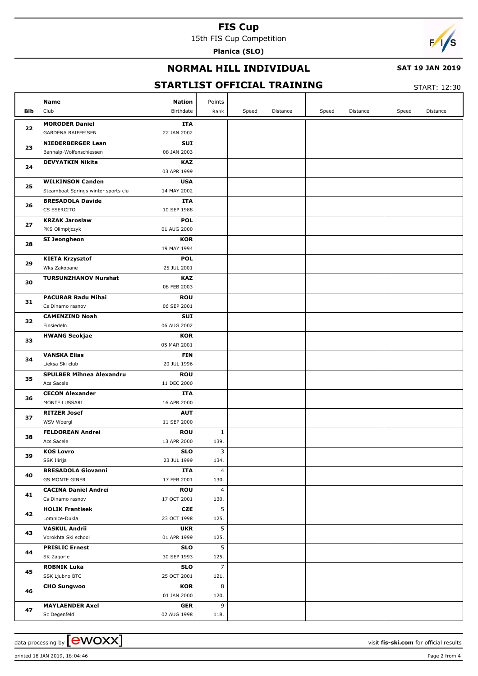15th FIS Cup Competition

**Planica (SLO)**



## **NORMAL HILL INDIVIDUAL**

#### **SAT 19 JAN 2019**

# **STARTLIST OFFICIAL TRAINING**

START: 12:30

|            | <b>Nation</b><br>Name                                                    | Points         |                   |                   |                   |
|------------|--------------------------------------------------------------------------|----------------|-------------------|-------------------|-------------------|
| <b>Bib</b> | Club<br>Birthdate                                                        | Rank           | Speed<br>Distance | Speed<br>Distance | Speed<br>Distance |
| 22         | <b>MORODER Daniel</b><br>ITA                                             |                |                   |                   |                   |
|            | 22 JAN 2002<br><b>GARDENA RAIFFEISEN</b>                                 |                |                   |                   |                   |
| 23         | <b>SUI</b><br><b>NIEDERBERGER Lean</b>                                   |                |                   |                   |                   |
|            | 08 JAN 2003<br>Bannalp-Wolfenschiessen                                   |                |                   |                   |                   |
| 24         | <b>DEVYATKIN Nikita</b><br><b>KAZ</b>                                    |                |                   |                   |                   |
|            | 03 APR 1999                                                              |                |                   |                   |                   |
| 25         | <b>WILKINSON Canden</b><br><b>USA</b>                                    |                |                   |                   |                   |
|            | Steamboat Springs winter sports clu<br>14 MAY 2002                       |                |                   |                   |                   |
| 26         | <b>BRESADOLA Davide</b><br>ITA<br>CS ESERCITO<br>10 SEP 1988             |                |                   |                   |                   |
|            | <b>KRZAK Jaroslaw</b><br><b>POL</b>                                      |                |                   |                   |                   |
| 27         | PKS Olimpijczyk<br>01 AUG 2000                                           |                |                   |                   |                   |
|            | SI Jeongheon<br>KOR                                                      |                |                   |                   |                   |
| 28         | 19 MAY 1994                                                              |                |                   |                   |                   |
|            | <b>POL</b><br><b>KIETA Krzysztof</b>                                     |                |                   |                   |                   |
| 29         | Wks Zakopane<br>25 JUL 2001                                              |                |                   |                   |                   |
|            | <b>TURSUNZHANOV Nurshat</b><br><b>KAZ</b>                                |                |                   |                   |                   |
| 30         | 08 FEB 2003                                                              |                |                   |                   |                   |
|            | <b>PACURAR Radu Mihai</b><br><b>ROU</b>                                  |                |                   |                   |                   |
| 31         | 06 SEP 2001<br>Cs Dinamo rasnov                                          |                |                   |                   |                   |
|            | <b>CAMENZIND Noah</b><br><b>SUI</b>                                      |                |                   |                   |                   |
| 32         | 06 AUG 2002<br>Einsiedeln                                                |                |                   |                   |                   |
| 33         | <b>HWANG Seokjae</b><br>KOR                                              |                |                   |                   |                   |
|            | 05 MAR 2001                                                              |                |                   |                   |                   |
|            | <b>VANSKA Elias</b><br><b>FIN</b>                                        |                |                   |                   |                   |
| 34         | Lieksa Ski club<br>20 JUL 1996                                           |                |                   |                   |                   |
| 35         | <b>SPULBER Mihnea Alexandru</b><br><b>ROU</b>                            |                |                   |                   |                   |
|            | Acs Sacele<br>11 DEC 2000                                                |                |                   |                   |                   |
| 36         | <b>CECON Alexander</b><br>ITA                                            |                |                   |                   |                   |
|            | MONTE LUSSARI<br>16 APR 2000                                             |                |                   |                   |                   |
| 37         | <b>RITZER Josef</b><br><b>AUT</b>                                        |                |                   |                   |                   |
|            | WSV Woergl<br>11 SEP 2000                                                |                |                   |                   |                   |
| 38         | <b>FELDOREAN Andrei</b><br><b>ROU</b>                                    | $\mathbf{1}$   |                   |                   |                   |
|            | 13 APR 2000<br>Acs Sacele                                                | 139.           |                   |                   |                   |
| 39         | <b>KOS Lovro</b><br><b>SLO</b>                                           | 3              |                   |                   |                   |
|            | SSK Ilirija<br>23 JUL 1999                                               | 134.           |                   |                   |                   |
| 40         | <b>BRESADOLA Giovanni</b><br>ITA<br><b>GS MONTE GINER</b><br>17 FEB 2001 | 4<br>130.      |                   |                   |                   |
|            | <b>CACINA Daniel Andrei</b><br><b>ROU</b>                                | 4              |                   |                   |                   |
| 41         | Cs Dinamo rasnov<br>17 OCT 2001                                          | 130.           |                   |                   |                   |
|            | <b>HOLIK Frantisek</b><br><b>CZE</b>                                     | 5              |                   |                   |                   |
| 42         | Lomnice-Dukla<br>23 OCT 1998                                             | 125.           |                   |                   |                   |
|            | <b>VASKUL Andrii</b><br><b>UKR</b>                                       | 5              |                   |                   |                   |
| 43         | Vorokhta Ski school<br>01 APR 1999                                       | 125.           |                   |                   |                   |
|            | <b>PRISLIC Ernest</b><br><b>SLO</b>                                      | 5              |                   |                   |                   |
| 44         | 30 SEP 1993<br>SK Zagorje                                                | 125.           |                   |                   |                   |
| 45         | <b>ROBNIK Luka</b><br><b>SLO</b>                                         | $\overline{7}$ |                   |                   |                   |
|            | SSK Ljubno BTC<br>25 OCT 2001                                            | 121.           |                   |                   |                   |
| 46         | <b>CHO Sungwoo</b><br>KOR                                                | 8              |                   |                   |                   |
|            | 01 JAN 2000                                                              | 120.           |                   |                   |                   |
| 47         | <b>MAYLAENDER Axel</b><br>GER                                            | 9              |                   |                   |                   |
|            | 02 AUG 1998<br>Sc Degenfeld                                              | 118.           |                   |                   |                   |

printed 18 JAN 2019, 18:04:46 Page 2 from 4

data processing by **CWOXX** and  $\overline{C}$  and  $\overline{C}$  and  $\overline{C}$  and  $\overline{C}$  and  $\overline{C}$  and  $\overline{C}$  and  $\overline{C}$  and  $\overline{C}$  and  $\overline{C}$  and  $\overline{C}$  and  $\overline{C}$  and  $\overline{C}$  and  $\overline{C}$  and  $\overline{C}$  and  $\overline{C}$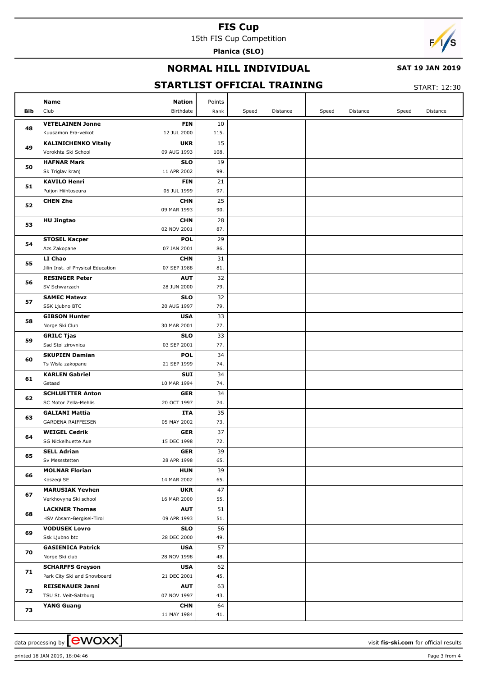15th FIS Cup Competition

**Planica (SLO)**



## **NORMAL HILL INDIVIDUAL**

#### **SAT 19 JAN 2019**

# **STARTLIST OFFICIAL TRAINING**

START: 12:30

|            | <b>Nation</b><br>Name                                                         | Points    |                   |                   |                   |
|------------|-------------------------------------------------------------------------------|-----------|-------------------|-------------------|-------------------|
| <b>Bib</b> | Club<br>Birthdate                                                             | Rank      | Speed<br>Distance | Speed<br>Distance | Speed<br>Distance |
| 48         | <b>VETELAINEN Jonne</b><br><b>FIN</b>                                         | 10        |                   |                   |                   |
|            | Kuusamon Era-veikot<br>12 JUL 2000                                            | 115.      |                   |                   |                   |
| 49         | <b>KALINICHENKO Vitaliy</b><br><b>UKR</b>                                     | 15        |                   |                   |                   |
|            | Vorokhta Ski School<br>09 AUG 1993                                            | 108.      |                   |                   |                   |
| 50         | <b>HAFNAR Mark</b><br><b>SLO</b>                                              | 19        |                   |                   |                   |
|            | Sk Triglav kranj<br>11 APR 2002                                               | 99.       |                   |                   |                   |
| 51         | <b>KAVILO Henri</b><br><b>FIN</b>                                             | 21        |                   |                   |                   |
|            | Puijon Hiihtoseura<br>05 JUL 1999                                             | 97.       |                   |                   |                   |
| 52         | <b>CHEN Zhe</b><br><b>CHN</b>                                                 | 25        |                   |                   |                   |
|            | 09 MAR 1993                                                                   | 90.       |                   |                   |                   |
| 53         | <b>HU Jingtao</b><br><b>CHN</b>                                               | 28        |                   |                   |                   |
|            | 02 NOV 2001                                                                   | 87.       |                   |                   |                   |
| 54         | <b>STOSEL Kacper</b><br><b>POL</b>                                            | 29        |                   |                   |                   |
|            | Azs Zakopane<br>07 JAN 2001                                                   | 86.       |                   |                   |                   |
| 55         | LI Chao<br><b>CHN</b>                                                         | 31        |                   |                   |                   |
|            | Jilin Inst. of Physical Education<br>07 SEP 1988                              | 81.       |                   |                   |                   |
| 56         | <b>RESINGER Peter</b><br><b>AUT</b>                                           | 32        |                   |                   |                   |
|            | SV Schwarzach<br>28 JUN 2000                                                  | 79.       |                   |                   |                   |
| 57         | <b>SAMEC Matevz</b><br><b>SLO</b>                                             | 32        |                   |                   |                   |
|            | 20 AUG 1997<br>SSK Ljubno BTC                                                 | 79.       |                   |                   |                   |
| 58         | <b>GIBSON Hunter</b><br><b>USA</b>                                            | 33        |                   |                   |                   |
| 59         | Norge Ski Club<br>30 MAR 2001                                                 | 77.       |                   |                   |                   |
|            | <b>GRILC Tjas</b><br><b>SLO</b>                                               | 33        |                   |                   |                   |
|            | Ssd Stol zirovnica<br>03 SEP 2001                                             | 77.       |                   |                   |                   |
| 60         | <b>SKUPIEN Damian</b><br><b>POL</b>                                           | 34        |                   |                   |                   |
|            | 21 SEP 1999<br>Ts Wisla zakopane                                              | 74.       |                   |                   |                   |
| 61         | <b>KARLEN Gabriel</b><br><b>SUI</b>                                           | 34        |                   |                   |                   |
|            | Gstaad<br>10 MAR 1994                                                         | 74.       |                   |                   |                   |
| 62         | <b>SCHLUETTER Anton</b><br><b>GER</b><br>20 OCT 1997<br>SC Motor Zella-Mehlis | 34        |                   |                   |                   |
|            |                                                                               | 74.<br>35 |                   |                   |                   |
| 63         | <b>GALIANI Mattia</b><br>ITA<br><b>GARDENA RAIFFEISEN</b><br>05 MAY 2002      | 73.       |                   |                   |                   |
|            | <b>WEIGEL Cedrik</b><br><b>GER</b>                                            | 37        |                   |                   |                   |
| 64         | 15 DEC 1998<br>SG Nickelhuette Aue                                            | 72.       |                   |                   |                   |
|            | ${\sf GER}$<br><b>SELL Adrian</b>                                             | 39        |                   |                   |                   |
| 65         | Sv Messstetten<br>28 APR 1998                                                 | 65.       |                   |                   |                   |
|            | <b>MOLNAR Florian</b><br><b>HUN</b>                                           | 39        |                   |                   |                   |
| 66         | Koszegi SE<br>14 MAR 2002                                                     | 65.       |                   |                   |                   |
|            | <b>MARUSIAK Yevhen</b><br><b>UKR</b>                                          | 47        |                   |                   |                   |
| 67         | Verkhovyna Ski school<br>16 MAR 2000                                          | 55.       |                   |                   |                   |
|            | <b>LACKNER Thomas</b><br><b>AUT</b>                                           | 51        |                   |                   |                   |
| 68         | 09 APR 1993<br>HSV Absam-Bergisel-Tirol                                       | 51.       |                   |                   |                   |
|            | <b>VODUSEK Lovro</b><br><b>SLO</b>                                            | 56        |                   |                   |                   |
| 69         | 28 DEC 2000<br>Ssk Ljubno btc                                                 | 49.       |                   |                   |                   |
|            | <b>GASIENICA Patrick</b><br><b>USA</b>                                        | 57        |                   |                   |                   |
| 70         | Norge Ski club<br>28 NOV 1998                                                 | 48.       |                   |                   |                   |
| 71         | <b>SCHARFFS Greyson</b><br><b>USA</b>                                         | 62        |                   |                   |                   |
|            | Park City Ski and Snowboard<br>21 DEC 2001                                    | 45.       |                   |                   |                   |
| 72         | <b>REISENAUER Janni</b><br><b>AUT</b>                                         | 63        |                   |                   |                   |
|            | 07 NOV 1997<br>TSU St. Veit-Salzburg                                          | 43.       |                   |                   |                   |
|            | <b>YANG Guang</b><br><b>CHN</b>                                               | 64        |                   |                   |                   |
| 73         | 11 MAY 1984                                                                   | 41.       |                   |                   |                   |

printed 18 JAN 2019, 18:04:46 Page 3 from 4

data processing by **CWOXX**  $\blacksquare$